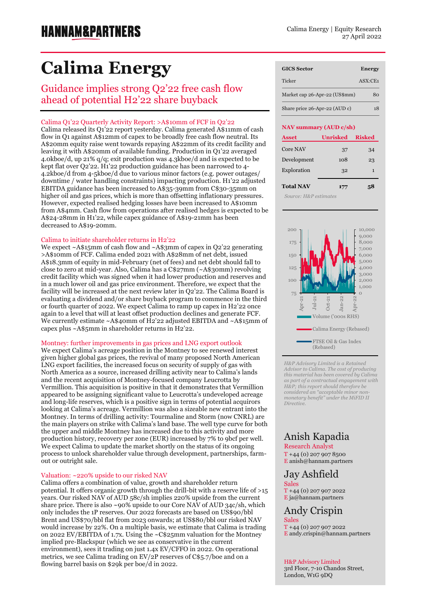# **Calima Energy**

### Guidance implies strong Q2'22 free cash flow ahead of potential H2'22 share buyback

#### Calima Q1'22 Quarterly Activity Report: >A\$10mm of FCF in Q2'22

Calima released its Q1'22 report yesterday. Calima generated A\$11mm of cash flow in Q1 against A\$12mm of capex to be broadly free cash flow neutral. Its A\$20mm equity raise went towards repaying A\$22mm of its credit facility and leaving it with A\$20mm of available funding. Production in Q1'22 averaged 4.0kboe/d, up 21% q/q; exit production was 4.3kboe/d and is expected to be kept flat over Q2'22. H1'22 production guidance has been narrowed to 4- 4.2kboe/d from 4-5kboe/d due to various minor factors (e.g. power outages/ downtime / water handling constraints) impacting production. H1'22 adjusted EBITDA guidance has been increased to A\$35-39mm from C\$30-35mm on higher oil and gas prices, which is more than offsetting inflationary pressures. However, expected realised hedging losses have been increased to A\$10mm from A\$4mm. Cash flow from operations after realised hedges is expected to be A\$24-28mm in H1'22, while capex guidance of A\$19-21mm has been decreased to A\$19-20mm.

#### Calima to initiate shareholder returns in H2'22

We expect ~A\$15mm of cash flow and ~A\$3mm of capex in Q2'22 generating >A\$10mm of FCF. Calima ended 2021 with A\$28mm of net debt, issued A\$18.3mm of equity in mid-February (net of fees) and net debt should fall to close to zero at mid-year. Also, Calima has a C\$27mm (~A\$30mm) revolving credit facility which was signed when it had lower production and reserves and in a much lower oil and gas price environment. Therefore, we expect that the facility will be increased at the next review later in Q2'22. The Calima Board is evaluating a dividend and/or share buyback program to commence in the third or fourth quarter of 2022. We expect Calima to ramp up capex in H2'22 once again to a level that will at least offset production declines and generate FCF. We currently estimate ~A\$40mm of H2'22 adjusted EBITDA and ~A\$15mm of capex plus ~A\$5mm in shareholder returns in H2'22.

#### Montney: further improvements in gas prices and LNG export outlook

We expect Calima's acreage position in the Montney to see renewed interest given higher global gas prices, the revival of many proposed North American LNG export facilities, the increased focus on security of supply of gas with North America as a source, increased drilling activity near to Calima's lands and the recent acquisition of Montney-focused company Leucrotta by Vermillion. This acquisition is positive in that it demonstrates that Vermillion appeared to be assigning significant value to Leucrotta's undeveloped acreage and long-life reserves, which is a positive sign in terms of potential acquirors looking at Calima's acreage. Vermillion was also a sizeable new entrant into the Montney. In terms of drilling activity: Tourmaline and Storm (now CNRL) are the main players on strike with Calima's land base. The well type curve for both the upper and middle Montney has increased due to this activity and more production history, recovery per zone (EUR) increased by 7% to 9bcf per well. We expect Calima to update the market shortly on the status of its ongoing process to unlock shareholder value through development, partnerships, farmout or outright sale.

#### Valuation: ~220% upside to our risked NAV

Calima offers a combination of value, growth and shareholder return potential. It offers organic growth through the drill-bit with a reserve life of >15 years. Our risked NAV of AUD 58c/sh implies 220% upside from the current share price. There is also ~90% upside to our Core NAV of AUD 34c/sh, which only includes the 1P reserves. Our 2022 forecasts are based on US\$90/bbl Brent and US\$70/bbl flat from 2023 onwards; at US\$80/bbl our risked NAV would increase by 22%. On a multiple basis, we estimate that Calima is trading on 2022 EV/EBITDA of 1.7x. Using the ~C\$25mm valuation for the Montney implied pre-Blackspur (which we see as conservative in the current environment), sees it trading on just 1.4x EV/CFFO in 2022. On operational metrics, we see Calima trading on EV/2P reserves of C\$5.7/boe and on a flowing barrel basis on \$29k per boe/d in 2022.

| <b>GICS Sector</b>            | <b>Energy</b> |
|-------------------------------|---------------|
| Ticker                        | ASX:CE1       |
| Market cap 26-Apr-22 (US\$mm) | 80            |
| Share price 26-Apr-22 (AUD c) | 18            |

#### **NAV summary (AUD c/sh)**

| <b>Unrisked</b> | <b>Risked</b> |
|-----------------|---------------|
| 37              | 34            |
| 108             | 23            |
| 32              | 1             |
| 177             | 58            |
|                 |               |

Exploration 114 1  *Source: H&P estimates*



*H&P Advisory Limited is a Retained Advisor to Calima. The cost of producing this material has been covered by Calima as part of a contractual engagement with H&P; this report should therefore be considered an "acceptable minor nonmonetary benefit" under the MiFID II Directive.*

### Anish Kapadia

Research Analyst  $T + 44 (0) 207 907 8500$ E [anish@hannam.partners](mailto:anish@hannam.partners)

#### Jay Ashfield Sales

T +44 (0) 207 907 2022 E ja@hannam.partners

#### Andy Crispin Sales

T +44 (0) 207 907 2022 E andy.crispin@hannam.partners

#### H&P Advisory Limited

3rd Floor, 7-10 Chandos Street, London, W1G 9DQ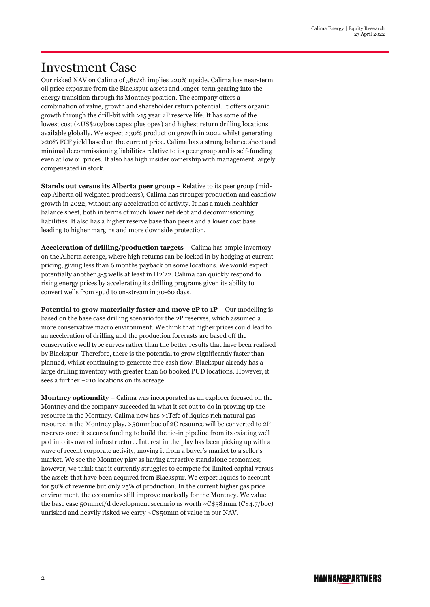## Investment Case

Our risked NAV on Calima of 58c/sh implies 220% upside. Calima has near-term oil price exposure from the Blackspur assets and longer-term gearing into the energy transition through its Montney position. The company offers a combination of value, growth and shareholder return potential. It offers organic growth through the drill-bit with >15 year 2P reserve life. It has some of the lowest cost (<US\$20/boe capex plus opex) and highest return drilling locations available globally. We expect >30% production growth in 2022 whilst generating >20% FCF yield based on the current price. Calima has a strong balance sheet and minimal decommissioning liabilities relative to its peer group and is self-funding even at low oil prices. It also has high insider ownership with management largely compensated in stock.

**Stands out versus its Alberta peer group** – Relative to its peer group (midcap Alberta oil weighted producers), Calima has stronger production and cashflow growth in 2022, without any acceleration of activity. It has a much healthier balance sheet, both in terms of much lower net debt and decommissioning liabilities. It also has a higher reserve base than peers and a lower cost base leading to higher margins and more downside protection.

**Acceleration of drilling/production targets** – Calima has ample inventory on the Alberta acreage, where high returns can be locked in by hedging at current pricing, giving less than 6 months payback on some locations. We would expect potentially another 3-5 wells at least in H2'22. Calima can quickly respond to rising energy prices by accelerating its drilling programs given its ability to convert wells from spud to on-stream in 30-60 days.

**Potential to grow materially faster and move 2P to 1P** – Our modelling is based on the base case drilling scenario for the 2P reserves, which assumed a more conservative macro environment. We think that higher prices could lead to an acceleration of drilling and the production forecasts are based off the conservative well type curves rather than the better results that have been realised by Blackspur. Therefore, there is the potential to grow significantly faster than planned, whilst continuing to generate free cash flow. Blackspur already has a large drilling inventory with greater than 60 booked PUD locations. However, it sees a further ~210 locations on its acreage.

**Montney optionality** – Calima was incorporated as an explorer focused on the Montney and the company succeeded in what it set out to do in proving up the resource in the Montney. Calima now has >1Tcfe of liquids rich natural gas resource in the Montney play. >50mmboe of 2C resource will be converted to 2P reserves once it secures funding to build the tie-in pipeline from its existing well pad into its owned infrastructure. Interest in the play has been picking up with a wave of recent corporate activity, moving it from a buyer's market to a seller's market. We see the Montney play as having attractive standalone economics; however, we think that it currently struggles to compete for limited capital versus the assets that have been acquired from Blackspur. We expect liquids to account for 50% of revenue but only 25% of production. In the current higher gas price environment, the economics still improve markedly for the Montney. We value the base case 50mmcf/d development scenario as worth ~C\$581mm (C\$4.7/boe) unrisked and heavily risked we carry ~C\$50mm of value in our NAV.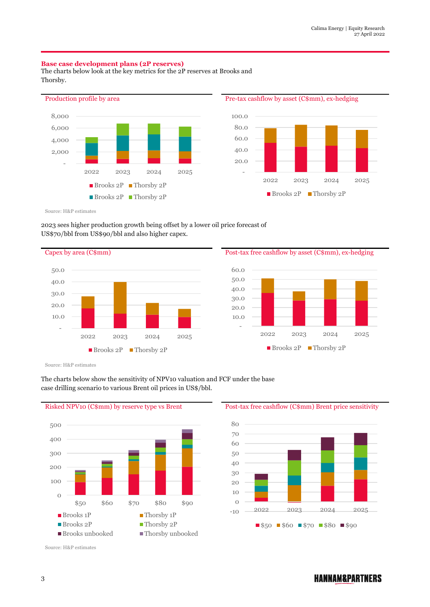#### **Base case development plans (2P reserves)**

The charts below look at the key metrics for the 2P reserves at Brooks and Thorsby.



Source: H&P estimates

#### 2023 sees higher production growth being offset by a lower oil price forecast of US\$70/bbl from US\$90/bbl and also higher capex.

Capex by area (C\$mm) Post-tax free cashflow by asset (C\$mm), ex-hedging - 10.0 20.0 30.0 40.0 50.0 2022 2023 2024 2025 ■ Brooks 2P ■ Thorsby 2P



Source: H&P estimates



#### The charts below show the sensitivity of NPV10 valuation and FCF under the base case drilling scenario to various Brent oil prices in US\$/bbl.

Risked NPV10 (C\$mm) by reserve type vs Brent Post-tax free cashflow (C\$mm) Brent price sensitivity



Source: H&P estimates

### **HANNAM&PARTNERS**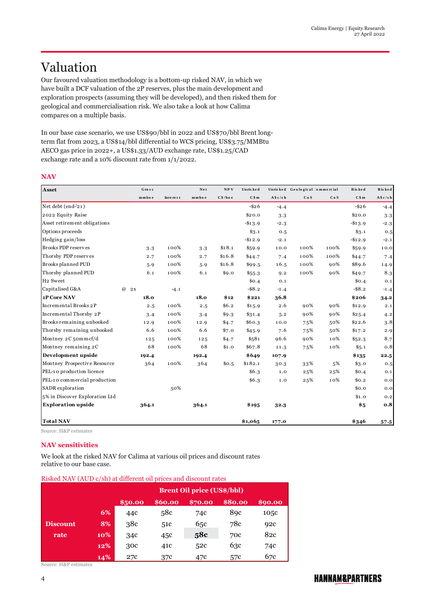# Valuation

Our favoured valuation methodology is a bottom-up risked NAV, in which we have built a DCF valuation of the 2P reserves, plus the main development and exploration prospects (assuming they will be developed), and then risked them for geological and commercialisation risk. We also take a look at how Calima compares on a multiple basis.

In our base case scenario, we use US\$90/bbl in 2022 and US\$70/bbl Brent longterm flat from 2023, a US\$14/bbl differential to WCS pricing, US\$3.75/MMBtu AECO gas price in 2022+, a US\$1.33/AUD exchange rate, US\$1.25/CAD exchange rate and a 10% discount rate from 1/1/2022.

#### **NAV**

| Asset                          | Gross                |          | $N e t$ | NPV     | Unris ked |           | Unrisked Geological 'ommercial |      | Risked     | Risked    |
|--------------------------------|----------------------|----------|---------|---------|-----------|-----------|--------------------------------|------|------------|-----------|
|                                | mmboe                | Interest | mmbo e  | C\$/boe | C\$m      | A \$c/s h | CoS                            | CoS  | C \$m      | A \$c/s h |
| Net debt (end-'21)             |                      |          |         |         | $-$ \$26  | $-4.4$    |                                |      | $-$ \$26   | $-4.4$    |
| 2022 Equity Raise              |                      |          |         |         | \$20.0    | 3.3       |                                |      | \$20.0     | 3.3       |
| Asset retirement obligations   |                      |          |         |         | $-$13.9$  | $-2.3$    |                                |      | $-$ \$13.9 | $-2.3$    |
| Options proceeds               |                      |          |         |         | \$3.1     | 0.5       |                                |      | \$3.1      | 0.5       |
| Hedging gain/loss              |                      |          |         |         | $-$12.9$  | $-2.1$    |                                |      | $-$12.9$   | $-2.1$    |
| Brooks PDP reserves            | 3.3                  | 100%     | 3.3     | \$18.1  | \$59.9    | 10.0      | 100%                           | 100% | \$59.9     | 10.0      |
| Thorsby PDP reserves           | 2.7                  | 100%     | 2.7     | \$16.8  | \$44.7    | 7.4       | 100%                           | 100% | \$44.7     | 7.4       |
| Brooks planned PUD             | 5.9                  | 100%     | 5.9     | \$16.8  | \$99.5    | 16.5      | 100%                           | 90%  | \$89.6     | 14.9      |
| Thorsby planned PUD            | 6.1                  | 100%     | 6.1     | \$9.0   | \$55.3    | 9.2       | 100%                           | 90%  | \$49.7     | 8.3       |
| H <sub>2</sub> Sweet           |                      |          |         |         | \$0.4\$   | 0.1       |                                |      | \$0.4      | 0.1       |
| Capitalised G&A                | $\overline{a}$<br>2x | $-4.1$   |         |         | $-$ \$8.2 | $-1.4$    |                                |      | $-$ \$8.2  | $-1.4$    |
| 1P Core NAV                    | 18.0                 |          | 18.0    | \$12    | \$221     | 36.8      |                                |      | \$206      | 34.2      |
| Incremental Brooks 2P          | 2.5                  | 100%     | 2.5     | \$6.2   | \$15.9    | 2.6       | 90%                            | 90%  | \$12.9     | 2.1       |
| Incremental Thorsby 2P         | 3.4                  | 100%     | 3.4     | \$9.3   | \$31.4    | 5.2       | 90%                            | 90%  | \$25.4     | 4.2       |
| Brooks remaining unbooked      | 12.9                 | 100%     | 12.9    | \$4.7   | \$60.3    | 10.0      | 75%                            | 50%  | \$22.6     | 3.8       |
| Thorsby remaining unbooked     | 6.6                  | 100%     | 6.6     | \$7.0   | \$45.9    | 7.6       | 75%                            | 50%  | \$17.2     | 2.9       |
| Montney 2C 50mmcf/d            | 125                  | 100%     | 125     | \$4.7   | \$581     | 96.6      | 90%                            | 10%  | \$52.3     | 8.7       |
| Montney remaining 2C           | 68                   | 100%     | 68      | \$1.0   | \$67.8    | 11.3      | 75%                            | 10%  | \$5.1      | 0.8       |
| Development upside             | 192.4                |          | 192.4   |         | \$649     | 107.9     |                                |      | \$135      | 22.5      |
| Montney Prospective Resource   | 364                  | 100%     | 364     | \$0.5   | \$182.1   | 30.3      | 33%                            | 5%   | \$3.0      | 0.5       |
| PEL-10 production licence      |                      |          |         |         | \$6.3     | 1.0       | 25%                            | 25%  | \$0.4      | 0.1       |
| PEL-10 commercial production   |                      |          |         |         | \$6.3     | 1.0       | 25%                            | 10%  | \$0.2\$    | 0.0       |
| SADR exploration               |                      | 50%      |         |         |           |           |                                |      | \$0.0      | 0.0       |
| 5% in Discover Exploration Ltd |                      |          |         |         |           |           |                                |      | \$1.0      | 0.2       |
| <b>Exploration upside</b>      | 364.1                |          | 364.1   |         | \$195     | 32.3      |                                |      | \$5        | 0.8       |
| <b>Total NAV</b>               |                      |          |         |         | \$1,065   | 177.0     |                                |      | \$346      | $57 - 5$  |

Source: H&P estimates

#### **NAV sensitivities**

We look at the risked NAV for Calima at various oil prices and discount rates relative to our base case.

| Risked NAV (AUD c/sh) at different oil prices and discount rates |                                                     |                                   |     |     |                  |      |  |  |  |
|------------------------------------------------------------------|-----------------------------------------------------|-----------------------------------|-----|-----|------------------|------|--|--|--|
|                                                                  |                                                     | <b>Brent Oil price (US\$/bbl)</b> |     |     |                  |      |  |  |  |
|                                                                  | \$60.00<br>\$80.00<br>\$90.00<br>\$50.00<br>\$70.00 |                                   |     |     |                  |      |  |  |  |
|                                                                  | 6%                                                  | 44c                               | 58c | 74c | 8 <sub>9</sub> c | 105c |  |  |  |
| <b>Discount</b>                                                  | 8%                                                  | 38c                               | 51c | 65c | 78c              | 92c  |  |  |  |
| rate                                                             | 10%                                                 | 34c                               | 45c | 58c | 70c              | 82c  |  |  |  |
|                                                                  | 12%                                                 | 30c                               | 41c | 52c | 63c              | 74c  |  |  |  |
|                                                                  | 14%                                                 | 27c                               | 37c | 47c | 57c              | 67c  |  |  |  |

Source: H&P estimates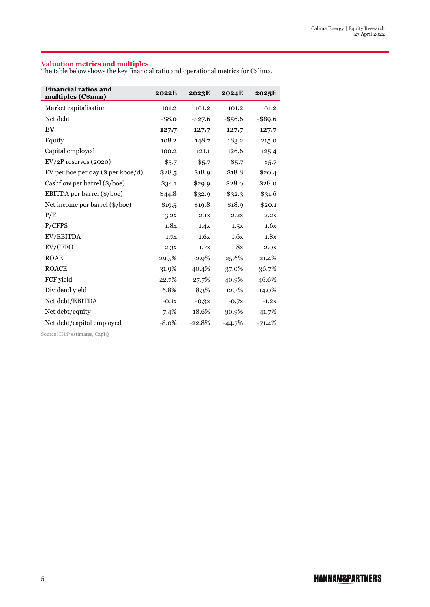#### **Valuation metrics and multiples**

The table below shows the key financial ratio and operational metrics for Calima.

| <b>Financial ratios and</b><br>multiples (C\$mm) | 2022E     | 2023E      | <b>2024E</b> | 2025E    |
|--------------------------------------------------|-----------|------------|--------------|----------|
| Market capitalisation                            | 101.2     | 101.2      | 101.2        | 101.2    |
| Net debt                                         | $-$ \$8.0 | $-$ \$27.6 | $-$ \$56.6   | -\$89.6  |
| EV                                               | 127.7     | 127.7      | 127.7        | 127.7    |
| Equity                                           | 108.2     | 148.7      | 183.2        | 215.0    |
| Capital employed                                 | 100.2     | 121.1      | 126.6        | 125.4    |
| $EV/2P$ reserves (2020)                          | \$5.7     | \$5.7      | \$5.7        | \$5.7    |
| EV per boe per day (\$ per kboe/d)               | \$28.5    | \$18.9     | \$18.8       | \$20.4   |
| Cashflow per barrel (\$/boe)                     | \$34.1    | \$29.9     | \$28.0       | \$28.0   |
| EBITDA per barrel (\$/boe)                       | \$44.8    | \$32.9     | \$32.3       | \$31.6   |
| Net income per barrel (\$/boe)                   | \$19.5    | \$19.8     | \$18.9       | \$20.1   |
| P/E                                              | 3.2x      | 2.1X       | 2.2X         | 2.2x     |
| P/CFPS                                           | 1.8x      | 1.4X       | 1.5X         | 1.6x     |
| EV/EBITDA                                        | 1.7X      | 1.6x       | 1.6x         | 1.8x     |
| EV/CFFO                                          | 2.3x      | 1.7X       | 1.8x         | 2.0x     |
| <b>ROAE</b>                                      | 29.5%     | 32.9%      | 25.6%        | 21.4%    |
| <b>ROACE</b>                                     | 31.9%     | 40.4%      | 37.0%        | 36.7%    |
| FCF yield                                        | 22.7%     | 27.7%      | 40.9%        | 46.6%    |
| Dividend yield                                   | 6.8%      | 8.3%       | 12.3%        | 14.0%    |
| Net debt/EBITDA                                  | $-0.1x$   | $-0.3x$    | $-0.7x$      | $-1.2X$  |
| Net debt/equity                                  | $-7.4%$   | $-18.6%$   | $-30.9%$     | $-41.7%$ |
| Net debt/capital employed                        | $-8.0\%$  | $-22.8%$   | $-44.7%$     | $-71.4%$ |

Source: H&P estimates, CapIQ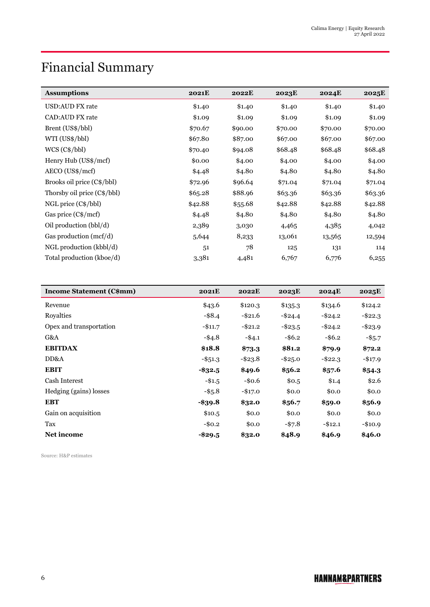# Financial Summary

| <b>Assumptions</b>          | <b>2021E</b> | <b>2022E</b> | 2023E   | <b>2024E</b> | 2025E   |
|-----------------------------|--------------|--------------|---------|--------------|---------|
| USD:AUD FX rate             | \$1.40       | \$1.40       | \$1.40  | \$1.40       | \$1.40  |
| <b>CAD:AUD FX rate</b>      | \$1.09       | \$1.09       | \$1.09  | \$1.09       | \$1.09  |
| Brent (US\$/bbl)            | \$70.67      | \$90.00      | \$70.00 | \$70.00      | \$70.00 |
| WTI (US\$/bbl)              | \$67.80      | \$87.00      | \$67.00 | \$67.00      | \$67.00 |
| $WCS (C\$/bb)$              | \$70.40      | \$94.08      | \$68.48 | \$68.48      | \$68.48 |
| Henry Hub (US\$/mcf)        | \$0.00       | \$4.00       | \$4.00  | \$4.00       | \$4.00  |
| $AECO (US\$/mcf)$           | \$4.48       | \$4.80       | \$4.80  | \$4.80       | \$4.80  |
| Brooks oil price (C\$/bbl)  | \$72.96      | \$96.64      | \$71.04 | \$71.04      | \$71.04 |
| Thorsby oil price (C\$/bbl) | \$65.28      | \$88.96      | \$63.36 | \$63.36      | \$63.36 |
| $NGL$ price $(C\$/bb)$      | \$42.88      | \$55.68      | \$42.88 | \$42.88      | \$42.88 |
| Gas price (C\$/mcf)         | \$4.48       | \$4.80       | \$4.80  | \$4.80       | \$4.80  |
| Oil production (bbl/d)      | 2,389        | 3,030        | 4,465   | 4,385        | 4,042   |
| Gas production $(mcf/d)$    | 5,644        | 8,233        | 13,061  | 13,565       | 12,594  |
| NGL production (kbbl/d)     | 51           | 78           | 125     | 131          | 114     |
| Total production (kboe/d)   | 3,381        | 4,481        | 6,767   | 6,776        | 6,255   |

| <b>Income Statement (C\$mm)</b> | 2021E      | 2022E      | 2023E      | 2024E      | 2025E      |
|---------------------------------|------------|------------|------------|------------|------------|
| Revenue                         | \$43.6     | \$120.3    | \$135.3    | \$134.6    | \$124.2    |
| Royalties                       | $-$ \$8.4  | $-$ \$21.6 | $-$ \$24.4 | $-$ \$24.2 | $-$ \$22.3 |
| Opex and transportation         | $-$11.7$   | $-$21.2$   | $-$ \$23.5 | $-$ \$24.2 | $-$ \$23.9 |
| G&A                             | $-$ \$4.8  | $-$ \$4.1  | $-$ \$6.2  | $-$ \$6.2  | $-$ \$5.7  |
| <b>EBITDAX</b>                  | \$18.8     | \$73.3     | \$81.2     | \$79.9     | \$72.2     |
| DD&A                            | $-$ \$51.3 | $-$ \$23.8 | $-$ \$25.0 | $-$ \$22.3 | $-$17.9$   |
| <b>EBIT</b>                     | $-$ \$32.5 | \$49.6     | \$56.2\$   | \$57.6     | \$54.3     |
| Cash Interest                   | $-$1.5$    | $-$ \$0.6  | \$0.5      | \$1.4      | \$2.6      |
| Hedging (gains) losses          | $-$ \$5.8  | $-$17.0$   | \$0.0      | \$0.0      | \$0.0      |
| <b>EBT</b>                      | $-$ \$39.8 | \$32.0     | \$56.7     | \$59.0     | \$56.9     |
| Gain on acquisition             | \$10.5     | \$0.0      | \$0.0      | \$0.0      | \$0.0      |
| Tax                             | $-$0.2$    | \$0.0      | $-$ \$7.8  | $-$12.1$   | $-$10.9$   |
| <b>Net income</b>               | -\$29.5    | \$32.0     | \$48.9     | \$46.9     | \$46.0     |

Source: H&P estimates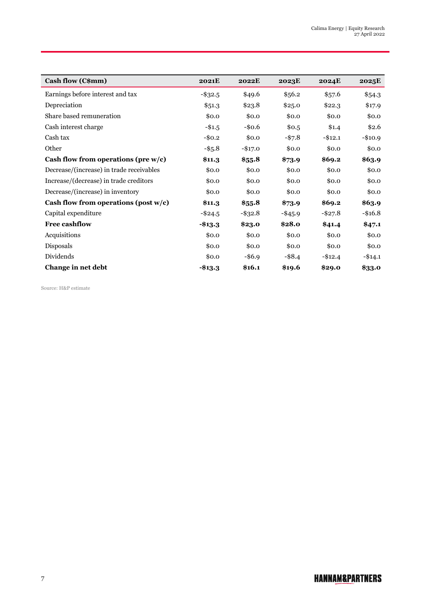| Cash flow (C\$mm)                        | 2021E      | 2022E      | 2023E      | <b>2024E</b> | 2025E      |
|------------------------------------------|------------|------------|------------|--------------|------------|
| Earnings before interest and tax         | $-$ \$32.5 | \$49.6     | \$56.2     | \$57.6       | \$54.3     |
| Depreciation                             | \$51.3     | \$23.8     | \$25.0     | \$22.3       | \$17.9     |
| Share based remuneration                 | \$0.0      | \$0.0      | \$0.0      | \$0.0        | \$0.0      |
| Cash interest charge                     | $-$1.5$    | $-$0.6$    | \$0.5      | \$1.4        | \$2.6      |
| Cash tax                                 | $-$0.2$    | \$0.0      | $-$7.8$    | $-$12.1$     | $-$10.9$   |
| Other                                    | $-$ \$5.8  | $-$17.0$   | \$0.0      | \$0.0        | \$0.0      |
| Cash flow from operations (pre w/c)      | \$11.3     | \$55.8     | \$73.9     | \$69.2\$     | \$63.9     |
| Decrease/(increase) in trade receivables | \$0.0      | \$0.0      | \$0.0      | \$0.0        | \$0.0      |
| Increase/(decrease) in trade creditors   | \$0.0      | \$0.0      | \$0.0      | \$0.0        | \$0.0      |
| Decrease/(increase) in inventory         | \$0.0      | \$0.0      | \$0.0      | \$0.0        | \$0.0      |
| Cash flow from operations (post $w/c$ )  | \$11.3     | \$55.8     | \$73.9     | \$69.2       | \$63.9     |
| Capital expenditure                      | $-$ \$24.5 | $-$ \$32.8 | $-$ \$45.9 | $-$ \$27.8   | $-$ \$16.8 |
| <b>Free cashflow</b>                     | $- $13.3$  | \$23.0     | \$28.0     | \$41.4       | \$47.1     |
| Acquisitions                             | \$0.0      | \$0.0      | \$0.0      | \$0.0        | \$0.0      |
| Disposals                                | \$0.0      | \$0.0      | \$0.0      | \$0.0        | \$0.0      |
| Dividends                                | \$0.0      | $-$ \$6.9  | $-$ \$8.4  | $-$12.4$     | $-$14.1$   |
| Change in net debt                       | $- $13.3$  | \$16.1     | \$19.6     | \$29.0       | \$33.0     |

Source: H&P estimate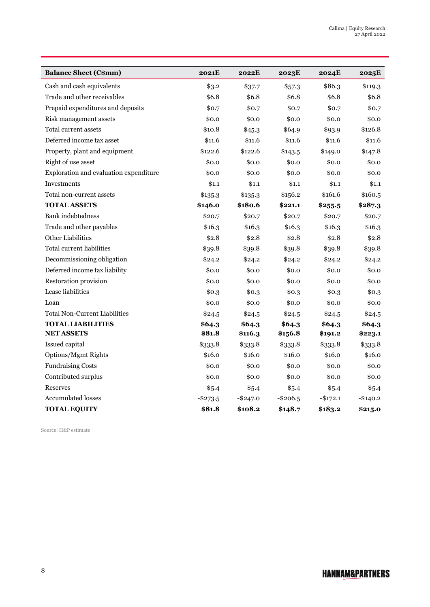| <b>Balance Sheet (C\$mm)</b>           | <b>2021E</b> | 2022E       | 2023E     | <b>2024E</b> | 2025E     |
|----------------------------------------|--------------|-------------|-----------|--------------|-----------|
| Cash and cash equivalents              | \$3.2        | \$37.7      | \$57.3    | \$86.3       | \$119.3   |
| Trade and other receivables            | \$6.8        | \$6.8       | \$6.8     | \$6.8        | \$6.8     |
| Prepaid expenditures and deposits      | \$0.7        | \$0.7       | \$0.7     | \$0.7        | \$0.7     |
| Risk management assets                 | \$0.0        | \$0.0       | \$0.0     | \$0.0        | \$0.0     |
| Total current assets                   | \$10.8       | \$45.3      | \$64.9    | \$93.9       | \$126.8   |
| Deferred income tax asset              | \$11.6       | \$11.6      | \$11.6    | \$11.6       | \$11.6    |
| Property, plant and equipment          | \$122.6      | \$122.6     | \$143.5   | \$149.0      | \$147.8   |
| Right of use asset                     | \$0.0        | \$0.0       | \$0.0     | \$0.0        | \$0.0     |
| Exploration and evaluation expenditure | \$0.0        | \$0.0       | \$0.0     | \$0.0        | \$0.0     |
| Investments                            | \$1.1        | \$1.1       | \$1.1     | \$1.1        | \$1.1     |
| Total non-current assets               | \$135.3      | \$135.3     | \$156.2   | \$161.6      | \$160.5   |
| <b>TOTAL ASSETS</b>                    | \$146.0      | \$180.6     | \$221.1   | \$255.5      | \$287.3   |
| <b>Bank</b> indebtedness               | \$20.7       | \$20.7      | \$20.7    | \$20.7       | \$20.7    |
| Trade and other payables               | \$16.3       | \$16.3      | \$16.3    | \$16.3       | \$16.3    |
| Other Liabilities                      | \$2.8        | \$2.8       | \$2.8     | \$2.8        | \$2.8     |
| <b>Total current liabilities</b>       | \$39.8       | \$39.8      | \$39.8    | \$39.8       | \$39.8    |
| Decommissioning obligation             | \$24.2       | \$24.2      | \$24.2    | \$24.2       | \$24.2    |
| Deferred income tax liability          | \$0.0        | \$0.0       | \$0.0     | \$0.0        | \$0.0     |
| Restoration provision                  | \$0.0        | \$0.0       | \$0.0     | \$0.0        | \$0.0     |
| Lease liabilities                      | \$0.3        | \$0.3       | \$0.3     | \$0.3        | \$0.3     |
| Loan                                   | \$0.0        | \$0.0       | \$0.0     | \$0.0        | \$0.0     |
| <b>Total Non-Current Liabilities</b>   | \$24.5       | \$24.5      | \$24.5    | \$24.5       | \$24.5    |
| <b>TOTAL LIABILITIES</b>               | \$64.3       | \$64.3      | \$64.3    | \$64.3       | \$64.3    |
| <b>NET ASSETS</b>                      | \$81.8       | \$116.3     | \$156.8   | \$191.2      | \$223.1   |
| Issued capital                         | \$333.8      | \$333.8     | \$333.8   | \$333.8      | \$333.8   |
| Options/Mgmt Rights                    | \$16.0       | \$16.0      | \$16.0    | \$16.0       | \$16.0    |
| <b>Fundraising Costs</b>               | \$0.0        | \$0.0       | \$0.0     | \$0.0        | \$0.0     |
| Contributed surplus                    | \$0.0        | \$0.0       | \$0.0     | \$0.0        | \$0.0     |
| Reserves                               | \$5.4        | \$5.4       | \$5.4     | \$5.4        | \$5.4     |
| <b>Accumulated losses</b>              | $-$ \$273.5  | $-$ \$247.0 | $-$206.5$ | $-$172.1$    | $-$140.2$ |
| <b>TOTAL EQUITY</b>                    | \$81.8       | \$108.2     | \$148.7   | \$183.2      | \$215.0   |

Source: H&P estimate